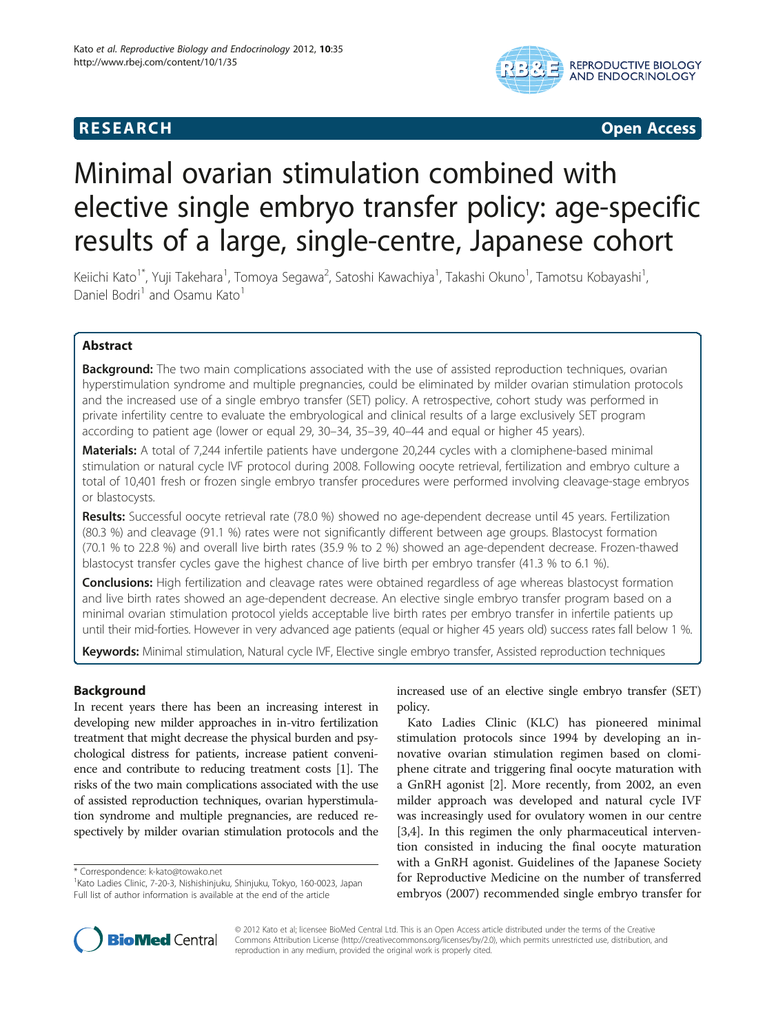# **RESEARCH CONSTRUCTED ACCESS**



# Minimal ovarian stimulation combined with elective single embryo transfer policy: age-specific results of a large, single-centre, Japanese cohort

Keiichi Kato<sup>1\*</sup>, Yuji Takehara<sup>1</sup>, Tomoya Segawa<sup>2</sup>, Satoshi Kawachiya<sup>1</sup>, Takashi Okuno<sup>1</sup>, Tamotsu Kobayashi<sup>1</sup> , Daniel Bodri<sup>1</sup> and Osamu Kato<sup>1</sup>

# Abstract

Background: The two main complications associated with the use of assisted reproduction techniques, ovarian hyperstimulation syndrome and multiple pregnancies, could be eliminated by milder ovarian stimulation protocols and the increased use of a single embryo transfer (SET) policy. A retrospective, cohort study was performed in private infertility centre to evaluate the embryological and clinical results of a large exclusively SET program according to patient age (lower or equal 29, 30–34, 35–39, 40–44 and equal or higher 45 years).

Materials: A total of 7,244 infertile patients have undergone 20,244 cycles with a clomiphene-based minimal stimulation or natural cycle IVF protocol during 2008. Following oocyte retrieval, fertilization and embryo culture a total of 10,401 fresh or frozen single embryo transfer procedures were performed involving cleavage-stage embryos or blastocysts.

Results: Successful oocyte retrieval rate (78.0 %) showed no age-dependent decrease until 45 years. Fertilization (80.3 %) and cleavage (91.1 %) rates were not significantly different between age groups. Blastocyst formation (70.1 % to 22.8 %) and overall live birth rates (35.9 % to 2 %) showed an age-dependent decrease. Frozen-thawed blastocyst transfer cycles gave the highest chance of live birth per embryo transfer (41.3 % to 6.1 %).

**Conclusions:** High fertilization and cleavage rates were obtained regardless of age whereas blastocyst formation and live birth rates showed an age-dependent decrease. An elective single embryo transfer program based on a minimal ovarian stimulation protocol yields acceptable live birth rates per embryo transfer in infertile patients up until their mid-forties. However in very advanced age patients (equal or higher 45 years old) success rates fall below 1 %.

Keywords: Minimal stimulation, Natural cycle IVF, Elective single embryo transfer, Assisted reproduction techniques

# Background

In recent years there has been an increasing interest in developing new milder approaches in in-vitro fertilization treatment that might decrease the physical burden and psychological distress for patients, increase patient convenience and contribute to reducing treatment costs [\[1\]](#page-5-0). The risks of the two main complications associated with the use of assisted reproduction techniques, ovarian hyperstimulation syndrome and multiple pregnancies, are reduced respectively by milder ovarian stimulation protocols and the

\* Correspondence: [k-kato@towako.net](mailto:k-kato@towako.net) <sup>1</sup>

increased use of an elective single embryo transfer (SET) policy.

Kato Ladies Clinic (KLC) has pioneered minimal stimulation protocols since 1994 by developing an innovative ovarian stimulation regimen based on clomiphene citrate and triggering final oocyte maturation with a GnRH agonist [[2\]](#page-5-0). More recently, from 2002, an even milder approach was developed and natural cycle IVF was increasingly used for ovulatory women in our centre [[3,4\]](#page-5-0). In this regimen the only pharmaceutical intervention consisted in inducing the final oocyte maturation with a GnRH agonist. Guidelines of the Japanese Society for Reproductive Medicine on the number of transferred embryos (2007) recommended single embryo transfer for



© 2012 Kato et al; licensee BioMed Central Ltd. This is an Open Access article distributed under the terms of the Creative Commons Attribution License (http://creativecommons.org/licenses/by/2.0), which permits unrestricted use, distribution, and reproduction in any medium, provided the original work is properly cited.

<sup>&</sup>lt;sup>1</sup> Kato Ladies Clinic, 7-20-3, Nishishinjuku, Shinjuku, Tokyo, 160-0023, Japan Full list of author information is available at the end of the article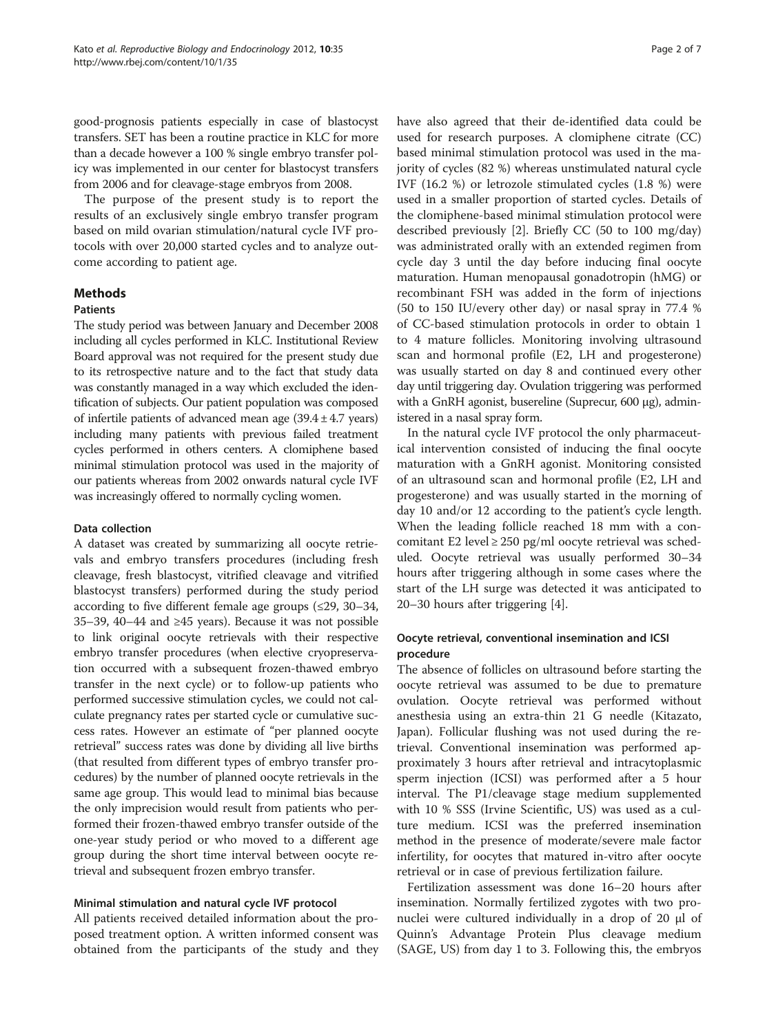good-prognosis patients especially in case of blastocyst transfers. SET has been a routine practice in KLC for more than a decade however a 100 % single embryo transfer policy was implemented in our center for blastocyst transfers from 2006 and for cleavage-stage embryos from 2008.

The purpose of the present study is to report the results of an exclusively single embryo transfer program based on mild ovarian stimulation/natural cycle IVF protocols with over 20,000 started cycles and to analyze outcome according to patient age.

# Methods

### Patients

The study period was between January and December 2008 including all cycles performed in KLC. Institutional Review Board approval was not required for the present study due to its retrospective nature and to the fact that study data was constantly managed in a way which excluded the identification of subjects. Our patient population was composed of infertile patients of advanced mean age  $(39.4 \pm 4.7 \text{ years})$ including many patients with previous failed treatment cycles performed in others centers. A clomiphene based minimal stimulation protocol was used in the majority of our patients whereas from 2002 onwards natural cycle IVF was increasingly offered to normally cycling women.

# Data collection

A dataset was created by summarizing all oocyte retrievals and embryo transfers procedures (including fresh cleavage, fresh blastocyst, vitrified cleavage and vitrified blastocyst transfers) performed during the study period according to five different female age groups (≤29, 30–34, 35–39, 40–44 and ≥45 years). Because it was not possible to link original oocyte retrievals with their respective embryo transfer procedures (when elective cryopreservation occurred with a subsequent frozen-thawed embryo transfer in the next cycle) or to follow-up patients who performed successive stimulation cycles, we could not calculate pregnancy rates per started cycle or cumulative success rates. However an estimate of "per planned oocyte retrieval" success rates was done by dividing all live births (that resulted from different types of embryo transfer procedures) by the number of planned oocyte retrievals in the same age group. This would lead to minimal bias because the only imprecision would result from patients who performed their frozen-thawed embryo transfer outside of the one-year study period or who moved to a different age group during the short time interval between oocyte retrieval and subsequent frozen embryo transfer.

# Minimal stimulation and natural cycle IVF protocol

All patients received detailed information about the proposed treatment option. A written informed consent was obtained from the participants of the study and they have also agreed that their de-identified data could be used for research purposes. A clomiphene citrate (CC) based minimal stimulation protocol was used in the majority of cycles (82 %) whereas unstimulated natural cycle IVF (16.2 %) or letrozole stimulated cycles (1.8 %) were used in a smaller proportion of started cycles. Details of the clomiphene-based minimal stimulation protocol were described previously [[2\]](#page-5-0). Briefly CC (50 to 100 mg/day) was administrated orally with an extended regimen from cycle day 3 until the day before inducing final oocyte maturation. Human menopausal gonadotropin (hMG) or recombinant FSH was added in the form of injections (50 to 150 IU/every other day) or nasal spray in 77.4 % of CC-based stimulation protocols in order to obtain 1 to 4 mature follicles. Monitoring involving ultrasound scan and hormonal profile (E2, LH and progesterone) was usually started on day 8 and continued every other day until triggering day. Ovulation triggering was performed with a GnRH agonist, busereline (Suprecur, 600 μg), administered in a nasal spray form.

In the natural cycle IVF protocol the only pharmaceutical intervention consisted of inducing the final oocyte maturation with a GnRH agonist. Monitoring consisted of an ultrasound scan and hormonal profile (E2, LH and progesterone) and was usually started in the morning of day 10 and/or 12 according to the patient's cycle length. When the leading follicle reached 18 mm with a concomitant E2 level ≥ 250 pg/ml oocyte retrieval was scheduled. Oocyte retrieval was usually performed 30–34 hours after triggering although in some cases where the start of the LH surge was detected it was anticipated to 20–30 hours after triggering [[4\]](#page-5-0).

# Oocyte retrieval, conventional insemination and ICSI procedure

The absence of follicles on ultrasound before starting the oocyte retrieval was assumed to be due to premature ovulation. Oocyte retrieval was performed without anesthesia using an extra-thin 21 G needle (Kitazato, Japan). Follicular flushing was not used during the retrieval. Conventional insemination was performed approximately 3 hours after retrieval and intracytoplasmic sperm injection (ICSI) was performed after a 5 hour interval. The P1/cleavage stage medium supplemented with 10 % SSS (Irvine Scientific, US) was used as a culture medium. ICSI was the preferred insemination method in the presence of moderate/severe male factor infertility, for oocytes that matured in-vitro after oocyte retrieval or in case of previous fertilization failure.

Fertilization assessment was done 16–20 hours after insemination. Normally fertilized zygotes with two pronuclei were cultured individually in a drop of 20 μl of Quinn's Advantage Protein Plus cleavage medium (SAGE, US) from day 1 to 3. Following this, the embryos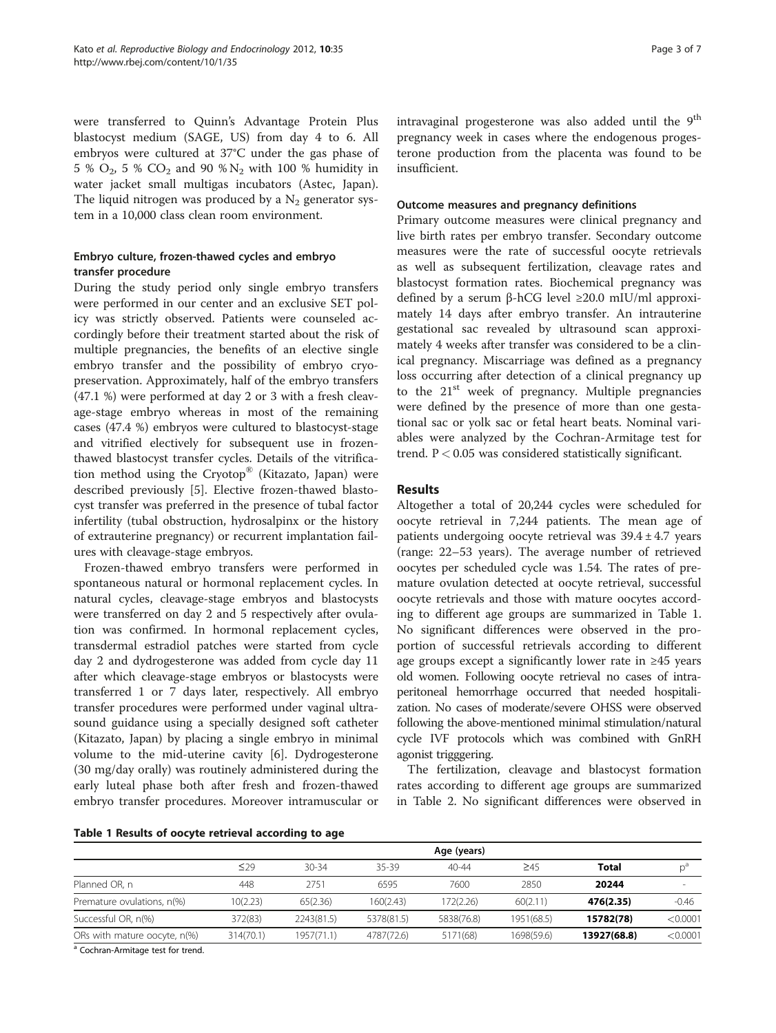were transferred to Quinn's Advantage Protein Plus blastocyst medium (SAGE, US) from day 4 to 6. All embryos were cultured at 37°C under the gas phase of 5 %  $O_2$ , 5 %  $CO_2$  and 90 %  $N_2$  with 100 % humidity in water jacket small multigas incubators (Astec, Japan). The liquid nitrogen was produced by a  $N_2$  generator system in a 10,000 class clean room environment.

# Embryo culture, frozen-thawed cycles and embryo transfer procedure

During the study period only single embryo transfers were performed in our center and an exclusive SET policy was strictly observed. Patients were counseled accordingly before their treatment started about the risk of multiple pregnancies, the benefits of an elective single embryo transfer and the possibility of embryo cryopreservation. Approximately, half of the embryo transfers (47.1 %) were performed at day 2 or 3 with a fresh cleavage-stage embryo whereas in most of the remaining cases (47.4 %) embryos were cultured to blastocyst-stage and vitrified electively for subsequent use in frozenthawed blastocyst transfer cycles. Details of the vitrification method using the Cryotop® (Kitazato, Japan) were described previously [\[5\]](#page-6-0). Elective frozen-thawed blastocyst transfer was preferred in the presence of tubal factor infertility (tubal obstruction, hydrosalpinx or the history of extrauterine pregnancy) or recurrent implantation failures with cleavage-stage embryos.

Frozen-thawed embryo transfers were performed in spontaneous natural or hormonal replacement cycles. In natural cycles, cleavage-stage embryos and blastocysts were transferred on day 2 and 5 respectively after ovulation was confirmed. In hormonal replacement cycles, transdermal estradiol patches were started from cycle day 2 and dydrogesterone was added from cycle day 11 after which cleavage-stage embryos or blastocysts were transferred 1 or 7 days later, respectively. All embryo transfer procedures were performed under vaginal ultrasound guidance using a specially designed soft catheter (Kitazato, Japan) by placing a single embryo in minimal volume to the mid-uterine cavity [\[6](#page-6-0)]. Dydrogesterone (30 mg/day orally) was routinely administered during the early luteal phase both after fresh and frozen-thawed embryo transfer procedures. Moreover intramuscular or intravaginal progesterone was also added until the 9<sup>th</sup> pregnancy week in cases where the endogenous progesterone production from the placenta was found to be insufficient.

#### Outcome measures and pregnancy definitions

Primary outcome measures were clinical pregnancy and live birth rates per embryo transfer. Secondary outcome measures were the rate of successful oocyte retrievals as well as subsequent fertilization, cleavage rates and blastocyst formation rates. Biochemical pregnancy was defined by a serum β-hCG level ≥20.0 mIU/ml approximately 14 days after embryo transfer. An intrauterine gestational sac revealed by ultrasound scan approximately 4 weeks after transfer was considered to be a clinical pregnancy. Miscarriage was defined as a pregnancy loss occurring after detection of a clinical pregnancy up to the 21<sup>st</sup> week of pregnancy. Multiple pregnancies were defined by the presence of more than one gestational sac or yolk sac or fetal heart beats. Nominal variables were analyzed by the Cochran-Armitage test for trend.  $P < 0.05$  was considered statistically significant.

#### Results

Altogether a total of 20,244 cycles were scheduled for oocyte retrieval in 7,244 patients. The mean age of patients undergoing oocyte retrieval was 39.4 ± 4.7 years (range: 22–53 years). The average number of retrieved oocytes per scheduled cycle was 1.54. The rates of premature ovulation detected at oocyte retrieval, successful oocyte retrievals and those with mature oocytes according to different age groups are summarized in Table 1. No significant differences were observed in the proportion of successful retrievals according to different age groups except a significantly lower rate in ≥45 years old women. Following oocyte retrieval no cases of intraperitoneal hemorrhage occurred that needed hospitalization. No cases of moderate/severe OHSS were observed following the above-mentioned minimal stimulation/natural cycle IVF protocols which was combined with GnRH agonist trigggering.

The fertilization, cleavage and blastocyst formation rates according to different age groups are summarized in Table [2](#page-3-0). No significant differences were observed in

|  |  |  |  |  |  | Table 1 Results of oocyte retrieval according to age |  |  |
|--|--|--|--|--|--|------------------------------------------------------|--|--|
|--|--|--|--|--|--|------------------------------------------------------|--|--|

|                              | Age (years) |            |            |            |            |             |                 |  |
|------------------------------|-------------|------------|------------|------------|------------|-------------|-----------------|--|
|                              | $\leq$ 29   | $30-34$    | 35-39      | $40 - 44$  | $\geq 45$  | Total       | $n^{\circ}$     |  |
| Planned OR, n                | 448         | 2751       | 6595       | 7600       | 2850       | 20244       | $\qquad \qquad$ |  |
| Premature ovulations, n(%)   | 10(2.23)    | 65(2.36)   | 160(2.43)  | 172(2.26)  | 60(2.11)   | 476(2.35)   | $-0.46$         |  |
| Successful OR, n(%)          | 372(83)     | 2243(81.5) | 5378(81.5) | 5838(76.8) | 1951(68.5) | 15782(78)   | < 0.0001        |  |
| ORs with mature oocyte, n(%) | 314(70.1)   | 1957(71.1) | 4787(72.6) | 5171(68)   | 1698(59.6) | 13927(68.8) | < 0.0001        |  |

a Cochran-Armitage test for trend.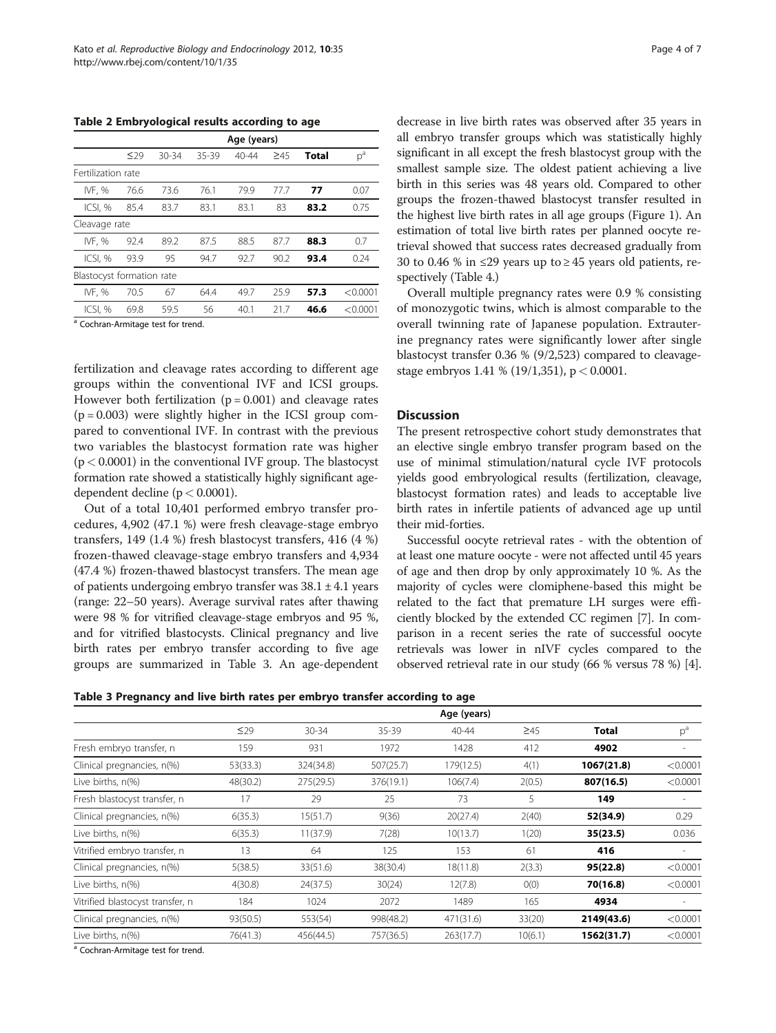<span id="page-3-0"></span>Table 2 Embryological results according to age

|                           | Age (years) |           |       |           |           |       |          |  |  |
|---------------------------|-------------|-----------|-------|-----------|-----------|-------|----------|--|--|
|                           | $\leq$ 29   | $30 - 34$ | 35-39 | $40 - 44$ | $\geq 45$ | Total | $p^a$    |  |  |
| Fertilization rate        |             |           |       |           |           |       |          |  |  |
| IVF. %                    | 76.6        | 73.6      | 76.1  | 79.9      | 77.7      | 77    | 0.07     |  |  |
| ICSI, %                   | 85.4        | 83.7      | 83.1  | 83.1      | 83        | 83.2  | 0.75     |  |  |
| Cleavage rate             |             |           |       |           |           |       |          |  |  |
| IVF. %                    | 92.4        | 89.2      | 87.5  | 88.5      | 87.7      | 88.3  | 0.7      |  |  |
| ICSI. %                   | 93.9        | 95        | 94.7  | 92.7      | 90.2      | 93.4  | 0.24     |  |  |
| Blastocyst formation rate |             |           |       |           |           |       |          |  |  |
| IVF, %                    | 70.5        | 67        | 64.4  | 49.7      | 25.9      | 57.3  | < 0.0001 |  |  |
| ICSI, %                   | 69.8        | 59.5      | 56    | 40.1      | 21.7      | 46.6  | < 0.0001 |  |  |

<sup>a</sup> Cochran-Armitage test for trend.

fertilization and cleavage rates according to different age groups within the conventional IVF and ICSI groups. However both fertilization ( $p = 0.001$ ) and cleavage rates  $(p = 0.003)$  were slightly higher in the ICSI group compared to conventional IVF. In contrast with the previous two variables the blastocyst formation rate was higher  $(p < 0.0001)$  in the conventional IVF group. The blastocyst formation rate showed a statistically highly significant agedependent decline ( $p < 0.0001$ ).

Out of a total 10,401 performed embryo transfer procedures, 4,902 (47.1 %) were fresh cleavage-stage embryo transfers, 149 (1.4 %) fresh blastocyst transfers, 416 (4 %) frozen-thawed cleavage-stage embryo transfers and 4,934 (47.4 %) frozen-thawed blastocyst transfers. The mean age of patients undergoing embryo transfer was 38.1 ± 4.1 years (range: 22–50 years). Average survival rates after thawing were 98 % for vitrified cleavage-stage embryos and 95 %, and for vitrified blastocysts. Clinical pregnancy and live birth rates per embryo transfer according to five age groups are summarized in Table 3. An age-dependent

decrease in live birth rates was observed after 35 years in all embryo transfer groups which was statistically highly significant in all except the fresh blastocyst group with the smallest sample size. The oldest patient achieving a live birth in this series was 48 years old. Compared to other groups the frozen-thawed blastocyst transfer resulted in the highest live birth rates in all age groups (Figure [1](#page-4-0)). An estimation of total live birth rates per planned oocyte retrieval showed that success rates decreased gradually from 30 to 0.46 % in ≤29 years up to ≥45 years old patients, respectively (Table [4.](#page-4-0))

Overall multiple pregnancy rates were 0.9 % consisting of monozygotic twins, which is almost comparable to the overall twinning rate of Japanese population. Extrauterine pregnancy rates were significantly lower after single blastocyst transfer 0.36 % (9/2,523) compared to cleavagestage embryos 1.41 % (19/1,351), p < 0.0001.

#### **Discussion**

The present retrospective cohort study demonstrates that an elective single embryo transfer program based on the use of minimal stimulation/natural cycle IVF protocols yields good embryological results (fertilization, cleavage, blastocyst formation rates) and leads to acceptable live birth rates in infertile patients of advanced age up until their mid-forties.

Successful oocyte retrieval rates - with the obtention of at least one mature oocyte - were not affected until 45 years of age and then drop by only approximately 10 %. As the majority of cycles were clomiphene-based this might be related to the fact that premature LH surges were efficiently blocked by the extended CC regimen [\[7](#page-6-0)]. In comparison in a recent series the rate of successful oocyte retrievals was lower in nIVF cycles compared to the observed retrieval rate in our study (66 % versus 78 %) [[4](#page-5-0)].

Table 3 Pregnancy and live birth rates per embryo transfer according to age

|                                  | Age (years) |           |           |           |           |              |          |  |
|----------------------------------|-------------|-----------|-----------|-----------|-----------|--------------|----------|--|
|                                  | $\leq$ 29   | $30 - 34$ | $35 - 39$ | 40-44     | $\geq 45$ | <b>Total</b> | $p^a$    |  |
| Fresh embryo transfer, n         | 159         | 931       | 1972      | 1428      | 412       | 4902         |          |  |
| Clinical pregnancies, n(%)       | 53(33.3)    | 324(34.8) | 507(25.7) | 179(12.5) | 4(1)      | 1067(21.8)   | < 0.0001 |  |
| Live births, n(%)                | 48(30.2)    | 275(29.5) | 376(19.1) | 106(7.4)  | 2(0.5)    | 807(16.5)    | < 0.0001 |  |
| Fresh blastocyst transfer, n     | 17          | 29        | 25        | 73        | 5         | 149          |          |  |
| Clinical pregnancies, n(%)       | 6(35.3)     | 15(51.7)  | 9(36)     | 20(27.4)  | 2(40)     | 52(34.9)     | 0.29     |  |
| Live births, n(%)                | 6(35.3)     | 11(37.9)  | 7(28)     | 10(13.7)  | 1(20)     | 35(23.5)     | 0.036    |  |
| Vitrified embryo transfer, n     | 13          | 64        | 125       | 153       | 61        | 416          |          |  |
| Clinical pregnancies, n(%)       | 5(38.5)     | 33(51.6)  | 38(30.4)  | 18(11.8)  | 2(3.3)    | 95(22.8)     | < 0.0001 |  |
| Live births, n(%)                | 4(30.8)     | 24(37.5)  | 30(24)    | 12(7.8)   | O(0)      | 70(16.8)     | < 0.0001 |  |
| Vitrified blastocyst transfer, n | 184         | 1024      | 2072      | 1489      | 165       | 4934         |          |  |
| Clinical pregnancies, n(%)       | 93(50.5)    | 553(54)   | 998(48.2) | 471(31.6) | 33(20)    | 2149(43.6)   | < 0.0001 |  |
| Live births, n(%)                | 76(41.3)    | 456(44.5) | 757(36.5) | 263(17.7) | 10(6.1)   | 1562(31.7)   | < 0.0001 |  |

a Cochran-Armitage test for trend.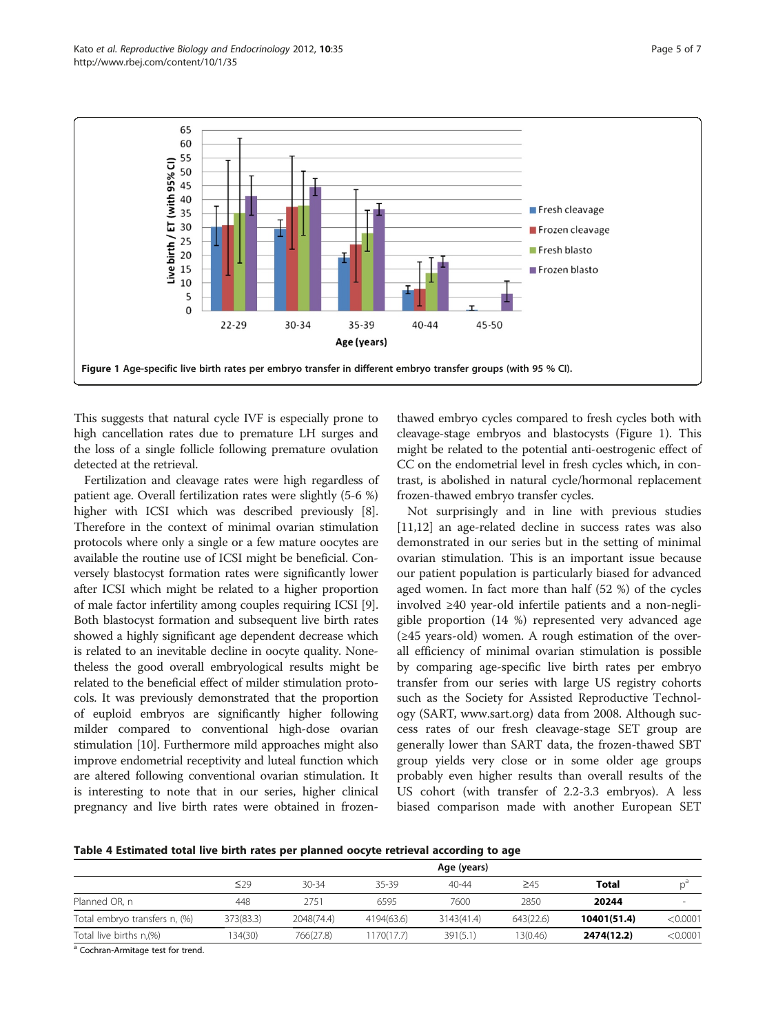<span id="page-4-0"></span>

This suggests that natural cycle IVF is especially prone to high cancellation rates due to premature LH surges and the loss of a single follicle following premature ovulation detected at the retrieval.

Fertilization and cleavage rates were high regardless of patient age. Overall fertilization rates were slightly (5-6 %) higher with ICSI which was described previously [[8](#page-6-0)]. Therefore in the context of minimal ovarian stimulation protocols where only a single or a few mature oocytes are available the routine use of ICSI might be beneficial. Conversely blastocyst formation rates were significantly lower after ICSI which might be related to a higher proportion of male factor infertility among couples requiring ICSI [[9](#page-6-0)]. Both blastocyst formation and subsequent live birth rates showed a highly significant age dependent decrease which is related to an inevitable decline in oocyte quality. Nonetheless the good overall embryological results might be related to the beneficial effect of milder stimulation protocols. It was previously demonstrated that the proportion of euploid embryos are significantly higher following milder compared to conventional high-dose ovarian stimulation [[10](#page-6-0)]. Furthermore mild approaches might also improve endometrial receptivity and luteal function which are altered following conventional ovarian stimulation. It is interesting to note that in our series, higher clinical pregnancy and live birth rates were obtained in frozen-

thawed embryo cycles compared to fresh cycles both with cleavage-stage embryos and blastocysts (Figure 1). This might be related to the potential anti-oestrogenic effect of CC on the endometrial level in fresh cycles which, in contrast, is abolished in natural cycle/hormonal replacement frozen-thawed embryo transfer cycles.

Not surprisingly and in line with previous studies [[11,12\]](#page-6-0) an age-related decline in success rates was also demonstrated in our series but in the setting of minimal ovarian stimulation. This is an important issue because our patient population is particularly biased for advanced aged women. In fact more than half (52 %) of the cycles involved ≥40 year-old infertile patients and a non-negligible proportion (14 %) represented very advanced age (≥45 years-old) women. A rough estimation of the overall efficiency of minimal ovarian stimulation is possible by comparing age-specific live birth rates per embryo transfer from our series with large US registry cohorts such as the Society for Assisted Reproductive Technology (SART, [www.sart.org\)](http://www.sart.org) data from 2008. Although success rates of our fresh cleavage-stage SET group are generally lower than SART data, the frozen-thawed SBT group yields very close or in some older age groups probably even higher results than overall results of the US cohort (with transfer of 2.2-3.3 embryos). A less biased comparison made with another European SET

Table 4 Estimated total live birth rates per planned oocyte retrieval according to age

|                               | Age (years) |            |            |            |           |             |          |  |
|-------------------------------|-------------|------------|------------|------------|-----------|-------------|----------|--|
|                               | $\leq$ 29   | $30 - 34$  | 35-39      | $40 - 44$  | $\geq 45$ | Total       |          |  |
| Planned OR, n                 | 448         | 2751       | 6595       | 7600       | 2850      | 20244       |          |  |
| Total embryo transfers n, (%) | 373(83.3)   | 2048(74.4) | 4194(63.6) | 3143(41.4) | 643(22.6) | 10401(51.4) | < 0.0001 |  |
| Total live births n, (%)      | 134(30)     | 766(27.8)  | 1170(17.7) | 391(5.1)   | 13(0.46)  | 2474(12.2)  | < 0.0001 |  |

a Cochran-Armitage test for trend.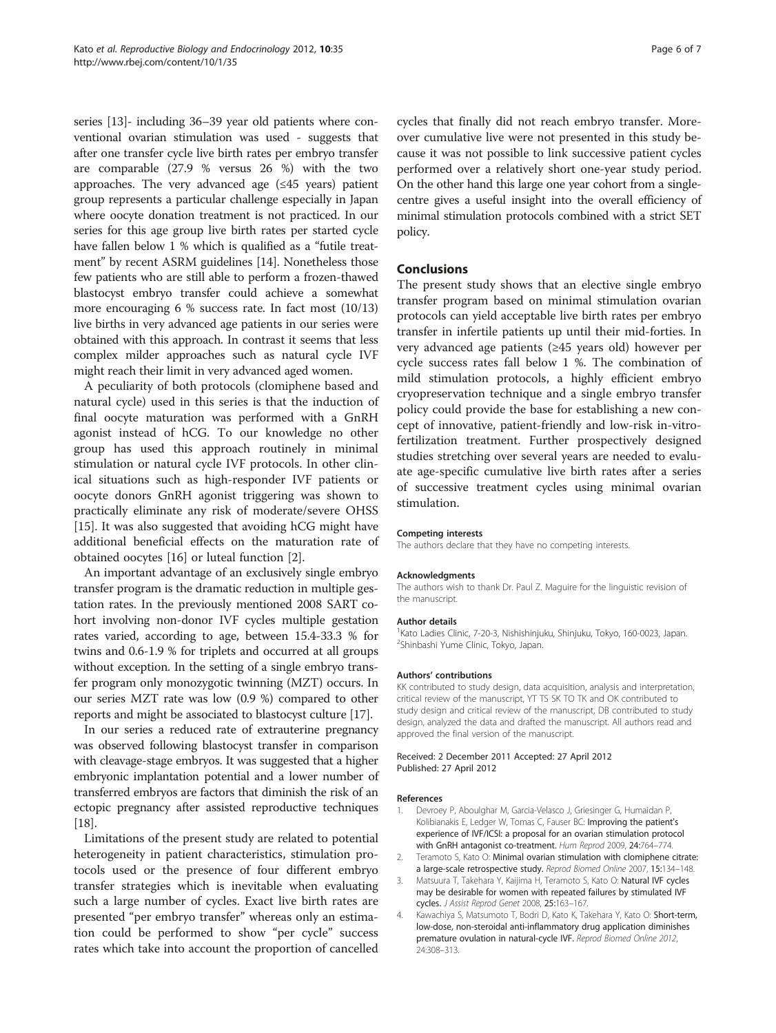<span id="page-5-0"></span>series [\[13\]](#page-6-0)- including 36–39 year old patients where conventional ovarian stimulation was used - suggests that after one transfer cycle live birth rates per embryo transfer are comparable (27.9 % versus 26 %) with the two approaches. The very advanced age  $(≤45$  years) patient group represents a particular challenge especially in Japan where oocyte donation treatment is not practiced. In our series for this age group live birth rates per started cycle have fallen below 1 % which is qualified as a "futile treatment" by recent ASRM guidelines [[14](#page-6-0)]. Nonetheless those few patients who are still able to perform a frozen-thawed blastocyst embryo transfer could achieve a somewhat more encouraging 6 % success rate. In fact most (10/13) live births in very advanced age patients in our series were obtained with this approach. In contrast it seems that less complex milder approaches such as natural cycle IVF might reach their limit in very advanced aged women.

A peculiarity of both protocols (clomiphene based and natural cycle) used in this series is that the induction of final oocyte maturation was performed with a GnRH agonist instead of hCG. To our knowledge no other group has used this approach routinely in minimal stimulation or natural cycle IVF protocols. In other clinical situations such as high-responder IVF patients or oocyte donors GnRH agonist triggering was shown to practically eliminate any risk of moderate/severe OHSS [[15\]](#page-6-0). It was also suggested that avoiding hCG might have additional beneficial effects on the maturation rate of obtained oocytes [\[16\]](#page-6-0) or luteal function [2].

An important advantage of an exclusively single embryo transfer program is the dramatic reduction in multiple gestation rates. In the previously mentioned 2008 SART cohort involving non-donor IVF cycles multiple gestation rates varied, according to age, between 15.4-33.3 % for twins and 0.6-1.9 % for triplets and occurred at all groups without exception. In the setting of a single embryo transfer program only monozygotic twinning (MZT) occurs. In our series MZT rate was low (0.9 %) compared to other reports and might be associated to blastocyst culture [[17](#page-6-0)].

In our series a reduced rate of extrauterine pregnancy was observed following blastocyst transfer in comparison with cleavage-stage embryos. It was suggested that a higher embryonic implantation potential and a lower number of transferred embryos are factors that diminish the risk of an ectopic pregnancy after assisted reproductive techniques [[18](#page-6-0)].

Limitations of the present study are related to potential heterogeneity in patient characteristics, stimulation protocols used or the presence of four different embryo transfer strategies which is inevitable when evaluating such a large number of cycles. Exact live birth rates are presented "per embryo transfer" whereas only an estimation could be performed to show "per cycle" success rates which take into account the proportion of cancelled cycles that finally did not reach embryo transfer. Moreover cumulative live were not presented in this study because it was not possible to link successive patient cycles performed over a relatively short one-year study period. On the other hand this large one year cohort from a singlecentre gives a useful insight into the overall efficiency of minimal stimulation protocols combined with a strict SET policy.

#### Conclusions

The present study shows that an elective single embryo transfer program based on minimal stimulation ovarian protocols can yield acceptable live birth rates per embryo transfer in infertile patients up until their mid-forties. In very advanced age patients (≥45 years old) however per cycle success rates fall below 1 %. The combination of mild stimulation protocols, a highly efficient embryo cryopreservation technique and a single embryo transfer policy could provide the base for establishing a new concept of innovative, patient-friendly and low-risk in-vitrofertilization treatment. Further prospectively designed studies stretching over several years are needed to evaluate age-specific cumulative live birth rates after a series of successive treatment cycles using minimal ovarian stimulation.

#### Competing interests

The authors declare that they have no competing interests.

#### Acknowledgments

The authors wish to thank Dr. Paul Z. Maguire for the linguistic revision of the manuscript.

#### Author details

<sup>1</sup> Kato Ladies Clinic, 7-20-3, Nishishinjuku, Shinjuku, Tokyo, 160-0023, Japan. <sup>2</sup>Shinbashi Yume Clinic, Tokyo, Japan.

#### Authors' contributions

KK contributed to study design, data acquisition, analysis and interpretation, critical review of the manuscript, YT TS SK TO TK and OK contributed to study design and critical review of the manuscript, DB contributed to study design, analyzed the data and drafted the manuscript. All authors read and approved the final version of the manuscript.

#### Received: 2 December 2011 Accepted: 27 April 2012 Published: 27 April 2012

#### References

- 1. Devroey P, Aboulghar M, Garcia-Velasco J, Griesinger G, Humaidan P, Kolibianakis E, Ledger W, Tomas C, Fauser BC: Improving the patient's experience of IVF/ICSI: a proposal for an ovarian stimulation protocol with GnRH antagonist co-treatment. Hum Reprod 2009, 24:764–774.
- 2. Teramoto S, Kato O: Minimal ovarian stimulation with clomiphene citrate: a large-scale retrospective study. Reprod Biomed Online 2007, 15:134-148.
- 3. Matsuura T, Takehara Y, Kaijima H, Teramoto S, Kato O: Natural IVF cycles may be desirable for women with repeated failures by stimulated IVF cycles. J Assist Reprod Genet 2008, 25:163–167.
- 4. Kawachiya S, Matsumoto T, Bodri D, Kato K, Takehara Y, Kato O: Short-term, low-dose, non-steroidal anti-inflammatory drug application diminishes premature ovulation in natural-cycle IVF. Reprod Biomed Online 2012, 24:308–313.